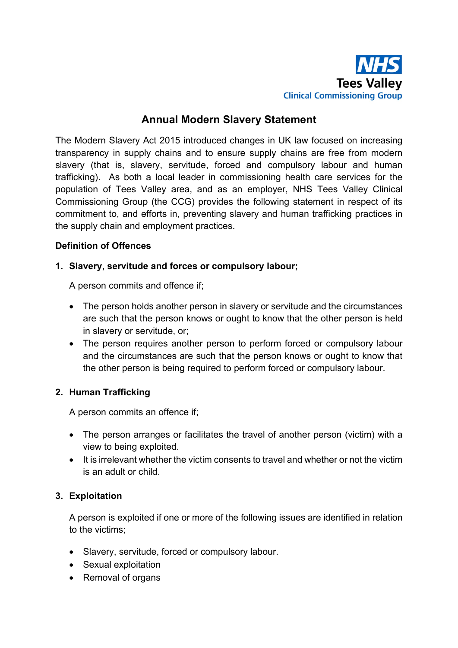

# **Annual Modern Slavery Statement**

The Modern Slavery Act 2015 introduced changes in UK law focused on increasing transparency in supply chains and to ensure supply chains are free from modern slavery (that is, slavery, servitude, forced and compulsory labour and human trafficking). As both a local leader in commissioning health care services for the population of Tees Valley area, and as an employer, NHS Tees Valley Clinical Commissioning Group (the CCG) provides the following statement in respect of its commitment to, and efforts in, preventing slavery and human trafficking practices in the supply chain and employment practices.

### **Definition of Offences**

### **1. Slavery, servitude and forces or compulsory labour;**

A person commits and offence if;

- The person holds another person in slavery or servitude and the circumstances are such that the person knows or ought to know that the other person is held in slavery or servitude, or;
- The person requires another person to perform forced or compulsory labour and the circumstances are such that the person knows or ought to know that the other person is being required to perform forced or compulsory labour.

#### **2. Human Trafficking**

A person commits an offence if;

- The person arranges or facilitates the travel of another person (victim) with a view to being exploited.
- It is irrelevant whether the victim consents to travel and whether or not the victim is an adult or child.

## **3. Exploitation**

A person is exploited if one or more of the following issues are identified in relation to the victims;

- Slavery, servitude, forced or compulsory labour.
- Sexual exploitation
- Removal of organs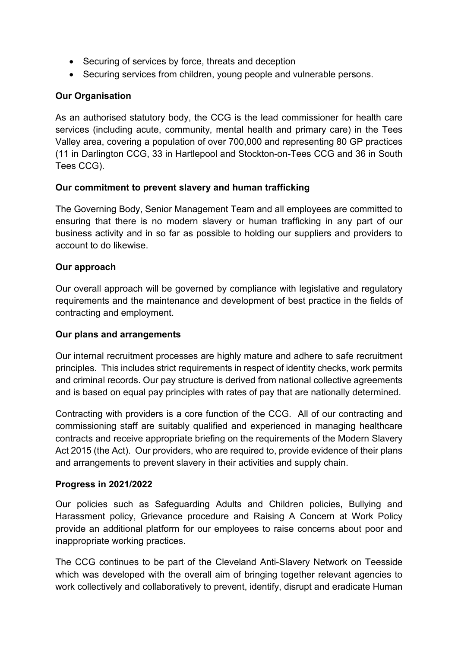- Securing of services by force, threats and deception
- Securing services from children, young people and vulnerable persons.

## **Our Organisation**

As an authorised statutory body, the CCG is the lead commissioner for health care services (including acute, community, mental health and primary care) in the Tees Valley area, covering a population of over 700,000 and representing 80 GP practices (11 in Darlington CCG, 33 in Hartlepool and Stockton-on-Tees CCG and 36 in South Tees CCG).

## **Our commitment to prevent slavery and human trafficking**

The Governing Body, Senior Management Team and all employees are committed to ensuring that there is no modern slavery or human trafficking in any part of our business activity and in so far as possible to holding our suppliers and providers to account to do likewise.

## **Our approach**

Our overall approach will be governed by compliance with legislative and regulatory requirements and the maintenance and development of best practice in the fields of contracting and employment.

## **Our plans and arrangements**

Our internal recruitment processes are highly mature and adhere to safe recruitment principles. This includes strict requirements in respect of identity checks, work permits and criminal records. Our pay structure is derived from national collective agreements and is based on equal pay principles with rates of pay that are nationally determined.

Contracting with providers is a core function of the CCG. All of our contracting and commissioning staff are suitably qualified and experienced in managing healthcare contracts and receive appropriate briefing on the requirements of the Modern Slavery Act 2015 (the Act). Our providers, who are required to, provide evidence of their plans and arrangements to prevent slavery in their activities and supply chain.

## **Progress in 2021/2022**

Our policies such as Safeguarding Adults and Children policies, Bullying and Harassment policy, Grievance procedure and Raising A Concern at Work Policy provide an additional platform for our employees to raise concerns about poor and inappropriate working practices.

The CCG continues to be part of the Cleveland Anti-Slavery Network on Teesside which was developed with the overall aim of bringing together relevant agencies to work collectively and collaboratively to prevent, identify, disrupt and eradicate Human